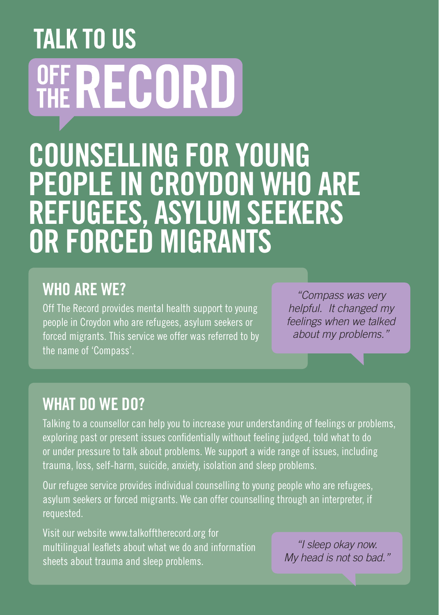# **TALK TO US OFF RECORD** COUNSELLING FOR YOUNG PEOPLE IN CROYDON WHO ARE REFUGEES, ASYLUM SEEKERS OR FORCED MIGRANTS

### WHO ARE WE?

Off The Record provides mental health support to young people in Croydon who are refugees, asylum seekers or forced migrants. This service we offer was referred to by the name of 'Compass'.

*"Compass was very helpful. It changed my feelings when we talked about my problems."*

#### WHAT DO WE DO?

Talking to a counsellor can help you to increase your understanding of feelings or problems, exploring past or present issues confidentially without feeling judged, told what to do or under pressure to talk about problems. We support a wide range of issues, including trauma, loss, self-harm, suicide, anxiety, isolation and sleep problems.

Our refugee service provides individual counselling to young people who are refugees, asylum seekers or forced migrants. We can offer counselling through an interpreter, if requested.

Visit our website www.talkofftherecord.org for multilingual leaflets about what we do and information sheets about trauma and sleep problems.

*"I sleep okay now. My head is not so bad."*